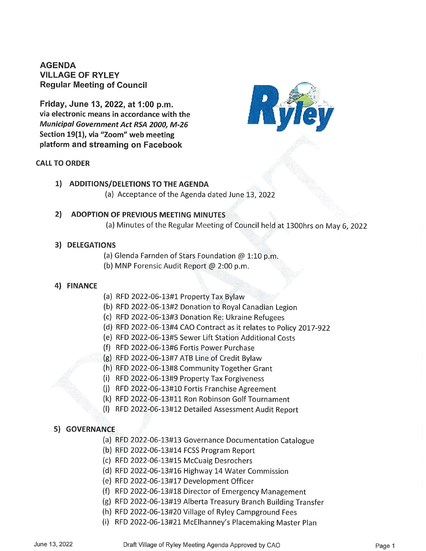# AGENDA VILLAGE OF RYLEY Regular Meeting of Council

Friday, June 13, 2022, at 1:00 p.m. via electronic means in accordance with the Municipal Government Act RSA 2000, M-26 Section 19(1), via "Zoom" web meeting platform and streaming on Facebook

#### CALL TO ORDER



## 1) ADDITIONS/DELETIONS TO THE AGENDA

(a) Acceptance of the Agenda dated June 13, 2022

## 2) ADOPTION OF PREVIOUS MEETING MINUTE

(a) Minutes of the Regular Meeting of Council held at 1300hrs on May 6, 202.

#### 3) DELEGATIONS

- (a) Glenda Farnden of Stars Foundation  $@1:10p.m.$
- (b) MNP Forensic Audit Report @ 2:00 p.m.

#### 4) FINANCE

- a) RFD 2022-06-13#1 Property Tax Bylaw
- b) RFD 2022-06-13#2 Donation to Royal Canadian Legion
- c) RFD 2022-06-13#3 Donation Re: Ukraine Refugees
- d) RFD 2022-06-13#4 CAO Contract as it relates to Policy 2017-922
- e) RFD 2022-06-13#5 Sewer Lift Station Additional Costs
- f) RFD 2022-06-13#6 Fortis Power Purchase
- g) RFD 2022-06-13#7 ATB Line of Credit Bylaw
- h) RFD 2022-06-13#8 Community Together Grant
- i) RFD 2022-06-13#9 Property Tax Forgiveness
- (j) RFD 2022-06-13#10 Fortis Franchise Agreement
- (k) RFD 2022-06-13#11 Ron Robinson Golf Tournament
- (l) RFD 2022-06-13#12 Detailed Assessment Audit Report

## 5) GOVERNANCE

- a) RFD 2022-06-13#13 Governance Documentation Catalogue
- b) RFD 2022-06-13#14 FCSS Program Report
- c) RFD 2022-06-13#15 McCuaig Desrochers
- d) RFD 2022-06-13#16 Highway 14 Water Commission
- e) RFD 2022-06-13#17 Development Officer
- f) RFD 2022-06-13#18 Director of Emergency Management
- g) RFD 2022-06-13#19 Alberta Treasury Branch Building Transfer
- h) RFD 2022-06-13#20 Village of Ryley Campground Fees
- i) RFD 2022-06-13#21 McElhanney's Placemaking Master Plan